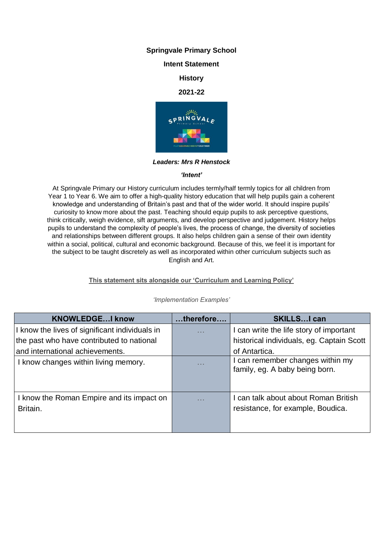## **Springvale Primary School**

# **Intent Statement**

# **History**

### **2021-22**



*Leaders: Mrs R Henstock*

### *'Intent'*

At Springvale Primary our History curriculum includes termly/half termly topics for all children from Year 1 to Year 6. We aim to offer a high-quality history education that will help pupils gain a coherent knowledge and understanding of Britain's past and that of the wider world. It should inspire pupils' curiosity to know more about the past. Teaching should equip pupils to ask perceptive questions, think critically, weigh evidence, sift arguments, and develop perspective and judgement. History helps pupils to understand the complexity of people's lives, the process of change, the diversity of societies and relationships between different groups. It also helps children gain a sense of their own identity within a social, political, cultural and economic background. Because of this, we feel it is important for the subject to be taught discretely as well as incorporated within other curriculum subjects such as English and Art.

## **This statement sits alongside our 'Curriculum and Learning Policy'**

| <b>KNOWLEDGEI know</b>                                | therefore  | <b>SKILLSI can</b>                                                      |
|-------------------------------------------------------|------------|-------------------------------------------------------------------------|
| I know the lives of significant individuals in        | $\sim 100$ | I can write the life story of important                                 |
| the past who have contributed to national             |            | historical individuals, eg. Captain Scott                               |
| and international achievements.                       |            | of Antartica.                                                           |
| I know changes within living memory.                  | $\sim 100$ | can remember changes within my<br>family, eg. A baby being born.        |
| I know the Roman Empire and its impact on<br>Britain. | .          | can talk about about Roman British<br>resistance, for example, Boudica. |

#### *'Implementation Examples'*